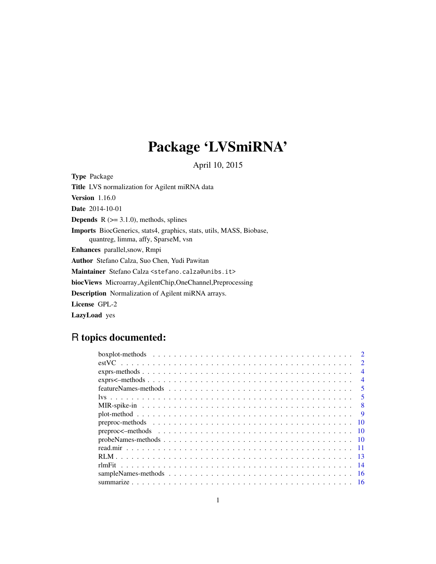# Package 'LVSmiRNA'

April 10, 2015

<span id="page-0-0"></span>Type Package

Title LVS normalization for Agilent miRNA data Version 1.16.0 Date 2014-10-01 **Depends**  $R$  ( $>= 3.1.0$ ), methods, splines Imports BiocGenerics, stats4, graphics, stats, utils, MASS, Biobase, quantreg, limma, affy, SparseM, vsn Enhances parallel,snow, Rmpi Author Stefano Calza, Suo Chen, Yudi Pawitan Maintainer Stefano Calza <stefano.calza@unibs.it> biocViews Microarray,AgilentChip,OneChannel,Preprocessing Description Normalization of Agilent miRNA arrays. License GPL-2 LazyLoad yes

# R topics documented:

| $\mathcal{D}$            |
|--------------------------|
| $\mathcal{D}$            |
| $\boldsymbol{\varDelta}$ |
| $\overline{4}$           |
| $\overline{\mathbf{5}}$  |
| .5                       |
| -8                       |
| <b>Q</b>                 |
| -10                      |
|                          |
|                          |
|                          |
|                          |
|                          |
|                          |
|                          |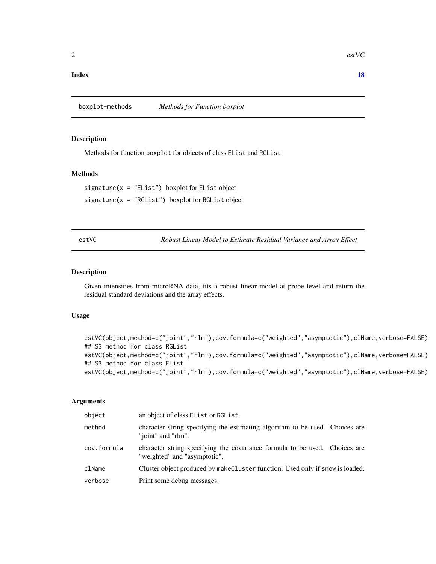# <span id="page-1-0"></span>**Index** 2008 **[18](#page-17-0)**

# Description

Methods for function boxplot for objects of class EList and RGList

# Methods

 $signature(x = "EList") boxplot for EList object$ signature( $x = "RGList")$  boxplot for RGList object

<span id="page-1-1"></span>estVC *Robust Linear Model to Estimate Residual Variance and Array Effect*

#### Description

Given intensities from microRNA data, fits a robust linear model at probe level and return the residual standard deviations and the array effects.

# Usage

```
estVC(object,method=c("joint","rlm"),cov.formula=c("weighted","asymptotic"),clName,verbose=FALSE)
## S3 method for class RGList
estVC(object,method=c("joint","rlm"),cov.formula=c("weighted","asymptotic"),clName,verbose=FALSE)
## S3 method for class EList
estVC(object,method=c("joint","rlm"),cov.formula=c("weighted","asymptotic"),clName,verbose=FALSE)
```
# Arguments

| object      | an object of class EList or RGList.                                                                        |
|-------------|------------------------------------------------------------------------------------------------------------|
| method      | character string specifying the estimating algorithm to be used. Choices are<br>"joint" and "rlm".         |
| cov.formula | character string specifying the covariance formula to be used. Choices are<br>"weighted" and "asymptotic". |
| clName      | Cluster object produced by makeCluster function. Used only if snow is loaded.                              |
| verbose     | Print some debug messages.                                                                                 |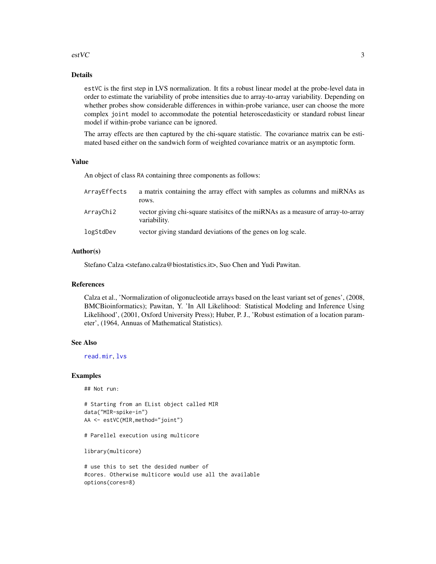# $\frac{1}{3}$

# Details

estVC is the first step in LVS normalization. It fits a robust linear model at the probe-level data in order to estimate the variability of probe intensities due to array-to-array variability. Depending on whether probes show considerable differences in within-probe variance, user can choose the more complex joint model to accommodate the potential heteroscedasticity or standard robust linear model if within-probe variance can be ignored.

The array effects are then captured by the chi-square statistic. The covariance matrix can be estimated based either on the sandwich form of weighted covariance matrix or an asymptotic form.

#### Value

An object of class RA containing three components as follows:

| ArrayEffects | a matrix containing the array effect with samples as columns and miRNAs as<br>rows.              |
|--------------|--------------------------------------------------------------------------------------------------|
| ArrayChi2    | vector giving chi-square statistics of the miRNAs as a measure of array-to-array<br>variability. |
| logStdDev    | vector giving standard deviations of the genes on log scale.                                     |

# Author(s)

Stefano Calza <stefano.calza@biostatistics.it>, Suo Chen and Yudi Pawitan.

#### References

Calza et al., 'Normalization of oligonucleotide arrays based on the least variant set of genes', (2008, BMCBioinformatics); Pawitan, Y. 'In All Likelihood: Statistical Modeling and Inference Using Likelihood', (2001, Oxford University Press); Huber, P. J., 'Robust estimation of a location parameter', (1964, Annuas of Mathematical Statistics).

#### See Also

[read.mir](#page-10-1), [lvs](#page-4-1)

#### Examples

## Not run:

```
# Starting from an EList object called MIR
data("MIR-spike-in")
AA <- estVC(MIR,method="joint")
```
# Parellel execution using multicore

library(multicore)

# use this to set the desided number of #cores. Otherwise multicore would use all the available options(cores=8)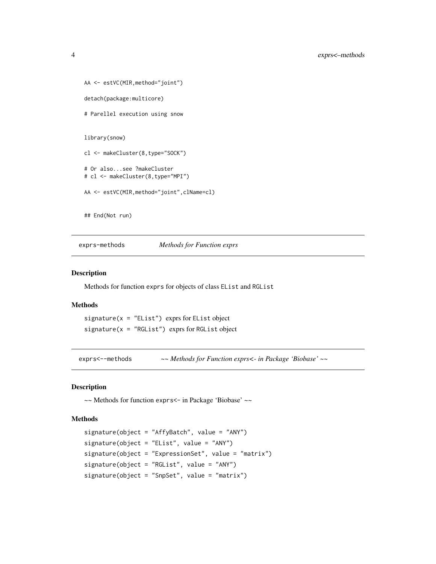```
AA <- estVC(MIR,method="joint")
detach(package:multicore)
# Parellel execution using snow
library(snow)
cl <- makeCluster(8,type="SOCK")
# Or also...see ?makeCluster
# cl <- makeCluster(8,type="MPI")
AA <- estVC(MIR,method="joint",clName=cl)
## End(Not run)
```
exprs-methods *Methods for Function exprs*

# Description

Methods for function exprs for objects of class EList and RGList

# Methods

signature( $x =$  "EList") exprs for EList object signature( $x = "RGList")$  exprs for RGList object

exprs<--methods *~~ Methods for Function exprs<- in Package 'Biobase' ~~*

# Description

~~ Methods for function exprs<- in Package 'Biobase' ~~

# Methods

```
signature(object = "AffyBatch", value = "ANY")
signature(object = "EList", value = "ANY")
signature(object = "ExpressionSet", value = "matrix")
signature(object = "RGList", value = "ANY")
signature(object = "SnpSet", value = "matrix")
```
<span id="page-3-0"></span>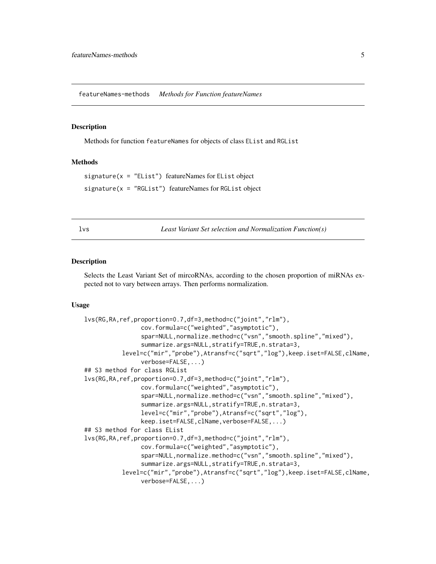<span id="page-4-0"></span>featureNames-methods *Methods for Function featureNames*

#### **Description**

Methods for function featureNames for objects of class EList and RGList

#### Methods

signature(x = "EList") featureNames for EList object signature(x = "RGList") featureNames for RGList object

<span id="page-4-1"></span>

| k. |  |  |
|----|--|--|
|----|--|--|

*Least Variant Set selection and Normalization Function(s)* 

#### Description

Selects the Least Variant Set of mircoRNAs, according to the chosen proportion of miRNAs expected not to vary between arrays. Then performs normalization.

# Usage

```
lvs(RG,RA,ref,proportion=0.7,df=3,method=c("joint","rlm"),
                cov.formula=c("weighted","asymptotic"),
                spar=NULL,normalize.method=c("vsn","smooth.spline","mixed"),
                summarize.args=NULL,stratify=TRUE,n.strata=3,
          level=c("mir","probe"),Atransf=c("sqrt","log"),keep.iset=FALSE,clName,
                verbose=FALSE,...)
## S3 method for class RGList
lvs(RG,RA,ref,proportion=0.7,df=3,method=c("joint","rlm"),
                cov.formula=c("weighted","asymptotic"),
                spar=NULL,normalize.method=c("vsn","smooth.spline","mixed"),
                summarize.args=NULL,stratify=TRUE,n.strata=3,
                level=c("mir","probe"),Atransf=c("sqrt","log"),
                keep.iset=FALSE,clName,verbose=FALSE,...)
## S3 method for class EList
lvs(RG,RA,ref,proportion=0.7,df=3,method=c("joint","rlm"),
                cov.formula=c("weighted","asymptotic"),
                spar=NULL,normalize.method=c("vsn","smooth.spline","mixed"),
                summarize.args=NULL,stratify=TRUE,n.strata=3,
          level=c("mir","probe"),Atransf=c("sqrt","log"),keep.iset=FALSE,clName,
                verbose=FALSE,...)
```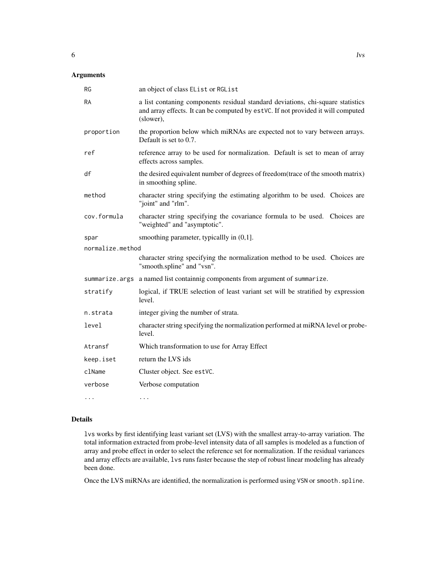# Arguments

| <b>RG</b>        | an object of class EList or RGList                                                                                                                                               |
|------------------|----------------------------------------------------------------------------------------------------------------------------------------------------------------------------------|
| <b>RA</b>        | a list contaning components residual standard deviations, chi-square statistics<br>and array effects. It can be computed by estVC. If not provided it will computed<br>(slower), |
| proportion       | the proportion below which miRNAs are expected not to vary between arrays.<br>Default is set to 0.7.                                                                             |
| ref              | reference array to be used for normalization. Default is set to mean of array<br>effects across samples.                                                                         |
| df               | the desired equivalent number of degrees of freedom(trace of the smooth matrix)<br>in smoothing spline.                                                                          |
| method           | character string specifying the estimating algorithm to be used. Choices are<br>"joint" and "rlm".                                                                               |
| cov.formula      | character string specifying the covariance formula to be used. Choices are<br>"weighted" and "asymptotic".                                                                       |
| spar             | smoothing parameter, typicallly in $(0,1]$ .                                                                                                                                     |
| normalize.method |                                                                                                                                                                                  |
|                  | character string specifying the normalization method to be used. Choices are<br>"smooth.spline" and "vsn".                                                                       |
|                  | summarize.args a named list containnig components from argument of summarize.                                                                                                    |
| stratify         | logical, if TRUE selection of least variant set will be stratified by expression<br>level.                                                                                       |
| n.strata         | integer giving the number of strata.                                                                                                                                             |
| level            | character string specifying the normalization performed at miRNA level or probe-<br>level.                                                                                       |
| Atransf          | Which transformation to use for Array Effect                                                                                                                                     |
| keep.iset        | return the LVS ids                                                                                                                                                               |
| clName           | Cluster object. See estVC.                                                                                                                                                       |
| verbose          | Verbose computation                                                                                                                                                              |
|                  | $\cdots$                                                                                                                                                                         |

# Details

lvs works by first identifying least variant set (LVS) with the smallest array-to-array variation. The total information extracted from probe-level intensity data of all samples is modeled as a function of array and probe effect in order to select the reference set for normalization. If the residual variances and array effects are available, lvs runs faster because the step of robust linear modeling has already been done.

Once the LVS miRNAs are identified, the normalization is performed using VSN or smooth.spline.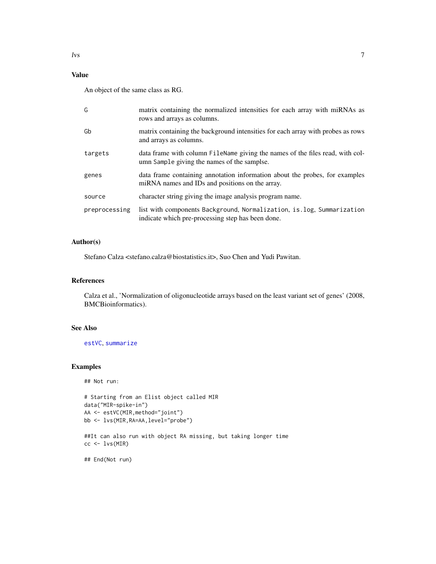# Value

An object of the same class as RG.

| G             | matrix containing the normalized intensities for each array with miRNAs as<br>rows and arrays as columns.                      |
|---------------|--------------------------------------------------------------------------------------------------------------------------------|
| Gb            | matrix containing the background intensities for each array with probes as rows<br>and arrays as columns.                      |
| targets       | data frame with column FileName giving the names of the files read, with col-<br>umn Sample giving the names of the samplse.   |
| genes         | data frame containing annotation information about the probes, for examples<br>miRNA names and IDs and positions on the array. |
| source        | character string giving the image analysis program name.                                                                       |
| preprocessing | list with components Background, Normalization, is.log, Summarization<br>indicate which pre-processing step has been done.     |

# Author(s)

Stefano Calza <stefano.calza@biostatistics.it>, Suo Chen and Yudi Pawitan.

# References

Calza et al., 'Normalization of oligonucleotide arrays based on the least variant set of genes' (2008, BMCBioinformatics).

# See Also

[estVC](#page-1-1), [summarize](#page-15-1)

# Examples

## Not run:

```
# Starting from an Elist object called MIR
data("MIR-spike-in")
AA <- estVC(MIR,method="joint")
bb <- lvs(MIR,RA=AA,level="probe")
##It can also run with object RA missing, but taking longer time
```
## End(Not run)

 $cc < -1vs(MIR)$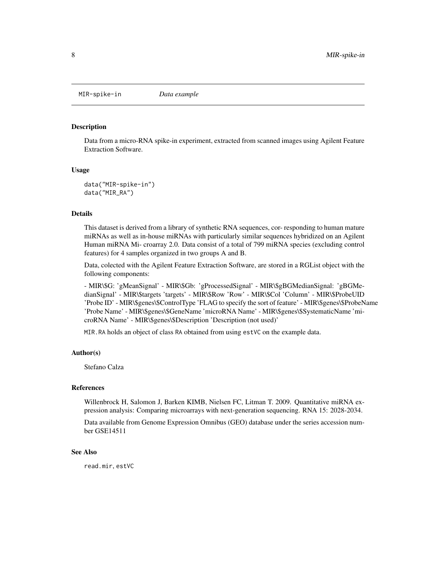<span id="page-7-0"></span>MIR-spike-in *Data example*

#### Description

Data from a micro-RNA spike-in experiment, extracted from scanned images using Agilent Feature Extraction Software.

#### Usage

data("MIR-spike-in") data("MIR\_RA")

# **Details**

This dataset is derived from a library of synthetic RNA sequences, cor- responding to human mature miRNAs as well as in-house miRNAs with particularly similar sequences hybridized on an Agilent Human miRNA Mi- croarray 2.0. Data consist of a total of 799 miRNA species (excluding control features) for 4 samples organized in two groups A and B.

Data, colected with the Agilent Feature Extraction Software, are stored in a RGList object with the following components:

- MIR\\$G: 'gMeanSignal' - MIR\\$Gb: 'gProcessedSignal' - MIR\\$gBGMedianSignal: 'gBGMedianSignal' - MIR\\$targets 'targets' - MIR\\$Row 'Row' - MIR\\$Col 'Column' - MIR\\$ProbeUID 'Probe ID' - MIR\\$genes\\$ControlType 'FLAG to specify the sort of feature' - MIR\\$genes\\$ProbeName 'Probe Name' - MIR\\$genes\\$GeneName 'microRNA Name' - MIR\\$genes\\$SystematicName 'microRNA Name' - MIR\\$genes\\$Description 'Description (not used)'

MIR.RA holds an object of class RA obtained from using estVC on the example data.

#### Author(s)

Stefano Calza

# References

Willenbrock H, Salomon J, Barken KIMB, Nielsen FC, Litman T. 2009. Quantitative miRNA expression analysis: Comparing microarrays with next-generation sequencing. RNA 15: 2028-2034.

Data available from Genome Expression Omnibus (GEO) database under the series accession number GSE14511

#### See Also

read.mir, estVC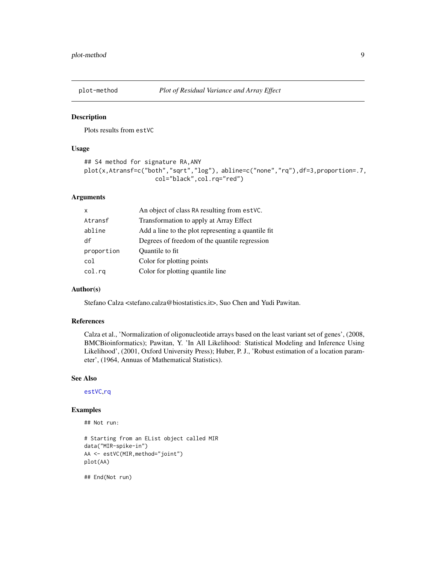<span id="page-8-0"></span>

# Description

Plots results from estVC

# Usage

```
## S4 method for signature RA,ANY
plot(x,Atransf=c("both","sqrt","log"), abline=c("none","rq"),df=3,proportion=.7,
                    col="black",col.rq="red")
```
# Arguments

| $\mathsf{x}$ | An object of class RA resulting from estVC.         |
|--------------|-----------------------------------------------------|
| Atransf      | Transformation to apply at Array Effect             |
| abline       | Add a line to the plot representing a quantile fit. |
| df           | Degrees of freedom of the quantile regression       |
| proportion   | Quantile to fit.                                    |
| col          | Color for plotting points                           |
| col.ra       | Color for plotting quantile line                    |

#### Author(s)

Stefano Calza <stefano.calza@biostatistics.it>, Suo Chen and Yudi Pawitan.

# References

Calza et al., 'Normalization of oligonucleotide arrays based on the least variant set of genes', (2008, BMCBioinformatics); Pawitan, Y. 'In All Likelihood: Statistical Modeling and Inference Using Likelihood', (2001, Oxford University Press); Huber, P. J., 'Robust estimation of a location parameter', (1964, Annuas of Mathematical Statistics).

#### See Also

[estVC](#page-1-1),[rq](#page-0-0)

#### Examples

## Not run:

```
# Starting from an EList object called MIR
data("MIR-spike-in")
AA <- estVC(MIR,method="joint")
plot(AA)
```
## End(Not run)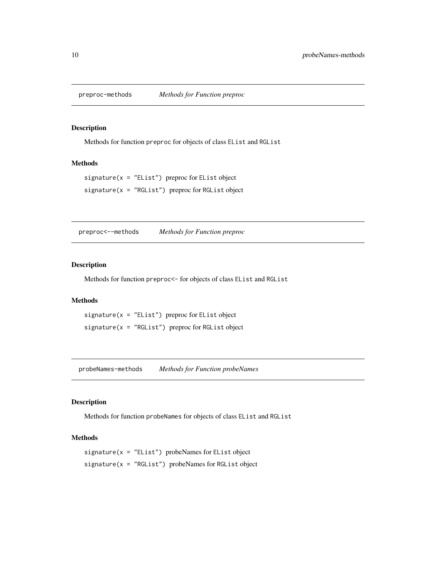<span id="page-9-0"></span>

# Description

Methods for function preproc for objects of class EList and RGList

# Methods

signature( $x =$  "EList") preproc for EList object  $signature(x = "RGList")$  preproc for RGList object

preproc<--methods *Methods for Function preproc*

#### Description

Methods for function preproc<- for objects of class EList and RGList

#### Methods

signature( $x =$  "EList") preproc for EList object  $signature(x = "RGList")$  preproc for RGList object

probeNames-methods *Methods for Function probeNames*

#### Description

Methods for function probeNames for objects of class EList and RGList

#### Methods

signature(x = "EList") probeNames for EList object signature(x = "RGList") probeNames for RGList object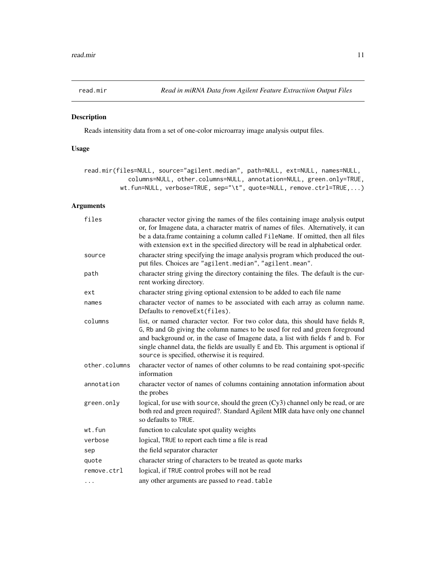<span id="page-10-1"></span><span id="page-10-0"></span>

# Description

Reads intensitity data from a set of one-color microarray image analysis output files.

# Usage

```
read.mir(files=NULL, source="agilent.median", path=NULL, ext=NULL, names=NULL,
            columns=NULL, other.columns=NULL, annotation=NULL, green.only=TRUE,
         wt.fun=NULL, verbose=TRUE, sep="\t", quote=NULL, remove.ctrl=TRUE,...)
```
# Arguments

| files         | character vector giving the names of the files containing image analysis output<br>or, for Imagene data, a character matrix of names of files. Alternatively, it can<br>be a data.frame containing a column called FileName. If omitted, then all files<br>with extension ext in the specified directory will be read in alphabetical order.                                               |
|---------------|--------------------------------------------------------------------------------------------------------------------------------------------------------------------------------------------------------------------------------------------------------------------------------------------------------------------------------------------------------------------------------------------|
| source        | character string specifying the image analysis program which produced the out-<br>put files. Choices are "agilent.median", "agilent.mean".                                                                                                                                                                                                                                                 |
| path          | character string giving the directory containing the files. The default is the cur-<br>rent working directory.                                                                                                                                                                                                                                                                             |
| ext           | character string giving optional extension to be added to each file name                                                                                                                                                                                                                                                                                                                   |
| names         | character vector of names to be associated with each array as column name.<br>Defaults to removeExt(files).                                                                                                                                                                                                                                                                                |
| columns       | list, or named character vector. For two color data, this should have fields R,<br>G, Rb and Gb giving the column names to be used for red and green foreground<br>and background or, in the case of Imagene data, a list with fields f and b. For<br>single channel data, the fields are usually E and Eb. This argument is optional if<br>source is specified, otherwise it is required. |
| other.columns | character vector of names of other columns to be read containing spot-specific<br>information                                                                                                                                                                                                                                                                                              |
| annotation    | character vector of names of columns containing annotation information about<br>the probes                                                                                                                                                                                                                                                                                                 |
| green.only    | logical, for use with source, should the green (Cy3) channel only be read, or are<br>both red and green required?. Standard Agilent MIR data have only one channel<br>so defaults to TRUE.                                                                                                                                                                                                 |
| wt.fun        | function to calculate spot quality weights                                                                                                                                                                                                                                                                                                                                                 |
| verbose       | logical, TRUE to report each time a file is read                                                                                                                                                                                                                                                                                                                                           |
| sep           | the field separator character                                                                                                                                                                                                                                                                                                                                                              |
| quote         | character string of characters to be treated as quote marks                                                                                                                                                                                                                                                                                                                                |
| remove.ctrl   | logical, if TRUE control probes will not be read                                                                                                                                                                                                                                                                                                                                           |
| $\cdots$      | any other arguments are passed to read. table                                                                                                                                                                                                                                                                                                                                              |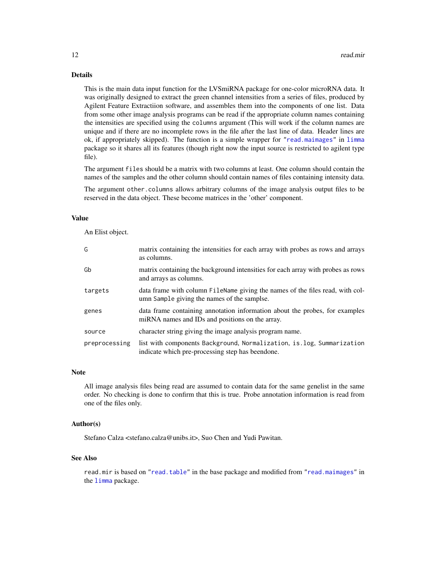# Details

This is the main data input function for the LVSmiRNA package for one-color microRNA data. It was originally designed to extract the green channel intensities from a series of files, produced by Agilent Feature Extractiion software, and assembles them into the components of one list. Data from some other image analysis programs can be read if the appropriate column names containing the intensities are specified using the columns argument (This will work if the column names are unique and if there are no incomplete rows in the file after the last line of data. Header lines are ok, if appropriately skipped). The function is a simple wrapper for ["read.maimages"](#page-0-0) in [limma](#page-0-0) package so it shares all its features (though right now the input source is restricted to agilent type file).

The argument files should be a matrix with two columns at least. One column should contain the names of the samples and the other column should contain names of files containing intensity data.

The argument other.columns allows arbitrary columns of the image analysis output files to be reserved in the data object. These become matrices in the 'other' component.

#### Value

An Elist object.

| G             | matrix containing the intensities for each array with probes as rows and arrays<br>as columns.                                 |
|---------------|--------------------------------------------------------------------------------------------------------------------------------|
| Gb            | matrix containing the background intensities for each array with probes as rows<br>and arrays as columns.                      |
| targets       | data frame with column FileName giving the names of the files read, with col-<br>umn Sample giving the names of the samplse.   |
| genes         | data frame containing annotation information about the probes, for examples<br>miRNA names and IDs and positions on the array. |
| source        | character string giving the image analysis program name.                                                                       |
| preprocessing | list with components Background, Normalization, is log, Summarization<br>indicate which pre-processing step has beendone.      |

#### **Note**

All image analysis files being read are assumed to contain data for the same genelist in the same order. No checking is done to confirm that this is true. Probe annotation information is read from one of the files only.

# Author(s)

Stefano Calza <stefano.calza@unibs.it>, Suo Chen and Yudi Pawitan.

# See Also

read.mir is based on ["read.table"](#page-0-0) in the base package and modified from ["read.maimages"](#page-0-0) in the [limma](#page-0-0) package.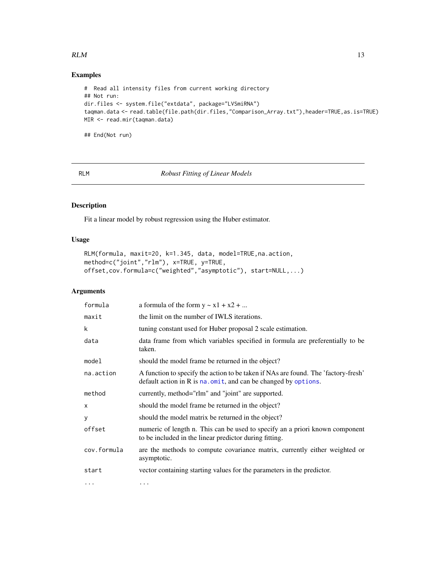### <span id="page-12-0"></span> $RLM$  13

# Examples

```
# Read all intensity files from current working directory
## Not run:
dir.files <- system.file("extdata", package="LVSmiRNA")
taqman.data <- read.table(file.path(dir.files,"Comparison_Array.txt"),header=TRUE,as.is=TRUE)
MIR <- read.mir(taqman.data)
```
## End(Not run)

<span id="page-12-1"></span>RLM *Robust Fitting of Linear Models*

# Description

Fit a linear model by robust regression using the Huber estimator.

# Usage

```
RLM(formula, maxit=20, k=1.345, data, model=TRUE,na.action,
method=c("joint","rlm"), x=TRUE, y=TRUE,
offset,cov.formula=c("weighted","asymptotic"), start=NULL,...)
```
# Arguments

| formula     | a formula of the form $y \sim x1 + x2 + $                                                                                                                     |
|-------------|---------------------------------------------------------------------------------------------------------------------------------------------------------------|
| maxit       | the limit on the number of IWLS iterations.                                                                                                                   |
| k           | tuning constant used for Huber proposal 2 scale estimation.                                                                                                   |
| data        | data frame from which variables specified in formula are preferentially to be<br>taken.                                                                       |
| model       | should the model frame be returned in the object?                                                                                                             |
| na.action   | A function to specify the action to be taken if NAs are found. The 'factory-fresh'<br>default action in $R$ is $na$ . $omit$ , and can be changed by options. |
| method      | currently, method="rlm" and "joint" are supported.                                                                                                            |
| X           | should the model frame be returned in the object?                                                                                                             |
| y           | should the model matrix be returned in the object?                                                                                                            |
| offset      | numeric of length n. This can be used to specify an a priori known component<br>to be included in the linear predictor during fitting.                        |
| cov.formula | are the methods to compute covariance matrix, currently either weighted or<br>asymptotic.                                                                     |
| start       | vector containing starting values for the parameters in the predictor.                                                                                        |
| $\cdots$    |                                                                                                                                                               |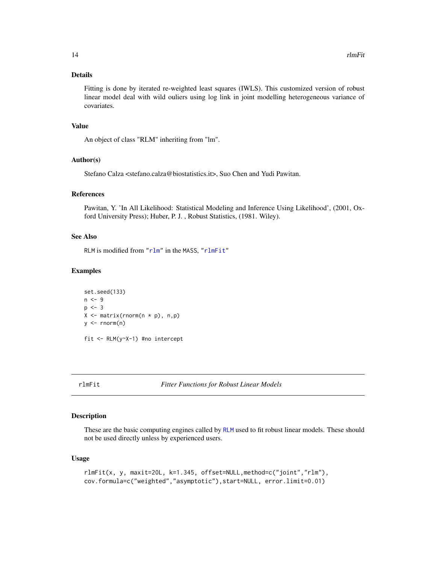<span id="page-13-0"></span>Fitting is done by iterated re-weighted least squares (IWLS). This customized version of robust linear model deal with wild ouliers using log link in joint modelling heterogeneous variance of covariates.

# Value

An object of class "RLM" inheriting from "lm".

# Author(s)

Stefano Calza <stefano.calza@biostatistics.it>, Suo Chen and Yudi Pawitan.

# References

Pawitan, Y. 'In All Likelihood: Statistical Modeling and Inference Using Likelihood', (2001, Oxford University Press); Huber, P. J. , Robust Statistics, (1981. Wiley).

#### See Also

RLM is modified from ["rlm"](#page-0-0) in the MASS, ["rlmFit"](#page-13-1)

### Examples

```
set.seed(133)
n < -9p \le -3X \leftarrow matrix(rnorm(n * p), n, p)y \le - rnorm(n)fit <- RLM(y~X-1) #no intercept
```
<span id="page-13-1"></span>rlmFit *Fitter Functions for Robust Linear Models*

### Description

These are the basic computing engines called by [RLM](#page-12-1) used to fit robust linear models. These should not be used directly unless by experienced users.

#### Usage

```
rlmFit(x, y, maxit=20L, k=1.345, offset=NULL,method=c("joint","rlm"),
cov.formula=c("weighted","asymptotic"),start=NULL, error.limit=0.01)
```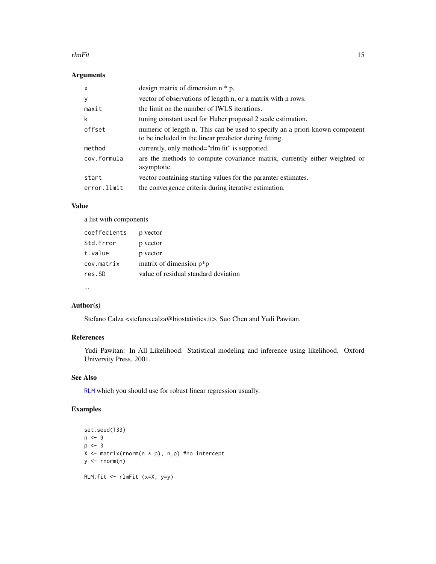#### rlmFit 15

# Arguments

| $\mathsf{x}$ | design matrix of dimension $n * p$ .                                                                                                   |
|--------------|----------------------------------------------------------------------------------------------------------------------------------------|
| y            | vector of observations of length n, or a matrix with n rows.                                                                           |
| maxit        | the limit on the number of IWLS iterations.                                                                                            |
| k            | tuning constant used for Huber proposal 2 scale estimation.                                                                            |
| offset       | numeric of length n. This can be used to specify an a priori known component<br>to be included in the linear predictor during fitting. |
| method       | currently, only method="rlm.fit" is supported.                                                                                         |
| cov.formula  | are the methods to compute covariance matrix, currently either weighted or<br>asymptotic.                                              |
| start        | vector containing starting values for the paramter estimates.                                                                          |
| error.limit  | the convergence criteria during iterative estimation.                                                                                  |

# Value

a list with components

| coeffecients | p vector                             |
|--------------|--------------------------------------|
| Std.Error    | p vector                             |
| t.value      | p vector                             |
| cov.matrix   | matrix of dimension $p^*p$           |
| res.SD       | value of residual standard deviation |
|              |                                      |

...

# Author(s)

Stefano Calza <stefano.calza@biostatistics.it>, Suo Chen and Yudi Pawitan.

# References

Yudi Pawitan: In All Likelihood: Statistical modeling and inference using likelihood. Oxford University Press. 2001.

# See Also

[RLM](#page-12-1) which you should use for robust linear regression usually.

# Examples

```
set.seed(133)
n < -9p \le -3X <- matrix(rnorm(n * p), n,p) #no intercept
y \leftarrow \text{norm}(n)RLM.fit <- rlmFit (x=X, y=y)
```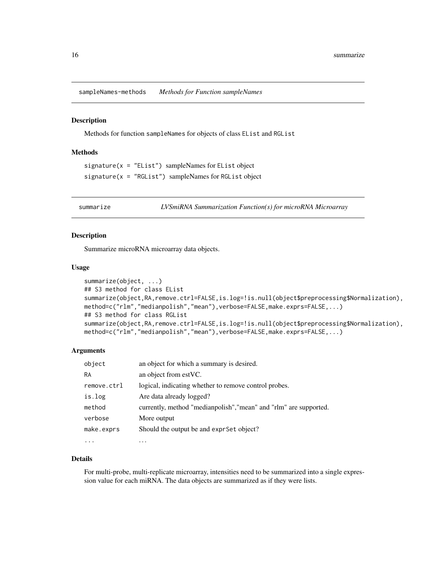<span id="page-15-0"></span>sampleNames-methods *Methods for Function sampleNames*

#### Description

Methods for function sampleNames for objects of class EList and RGList

# Methods

```
signature(x = "EList") sampleNames for EList object
signature(x = "RGList") sampleNames for RGList object
```
<span id="page-15-1"></span>summarize *LVSmiRNA Summarization Function(s) for microRNA Microarray*

# Description

Summarize microRNA microarray data objects.

#### Usage

```
summarize(object, ...)
## S3 method for class EList
summarize(object,RA,remove.ctrl=FALSE,is.log=!is.null(object$preprocessing$Normalization),
method=c("rlm","medianpolish","mean"),verbose=FALSE,make.exprs=FALSE,...)
## S3 method for class RGList
summarize(object,RA,remove.ctrl=FALSE,is.log=!is.null(object$preprocessing$Normalization),
method=c("rlm","medianpolish","mean"),verbose=FALSE,make.exprs=FALSE,...)
```
# Arguments

| object      | an object for which a summary is desired.                         |
|-------------|-------------------------------------------------------------------|
| <b>RA</b>   | an object from estVC.                                             |
| remove.ctrl | logical, indicating whether to remove control probes.             |
| is.log      | Are data already logged?                                          |
| method      | currently, method "medianpolish", "mean" and "rlm" are supported. |
| verbose     | More output                                                       |
| make.exprs  | Should the output be and expr Set object?                         |
|             |                                                                   |

#### Details

For multi-probe, multi-replicate microarray, intensities need to be summarized into a single expression value for each miRNA. The data objects are summarized as if they were lists.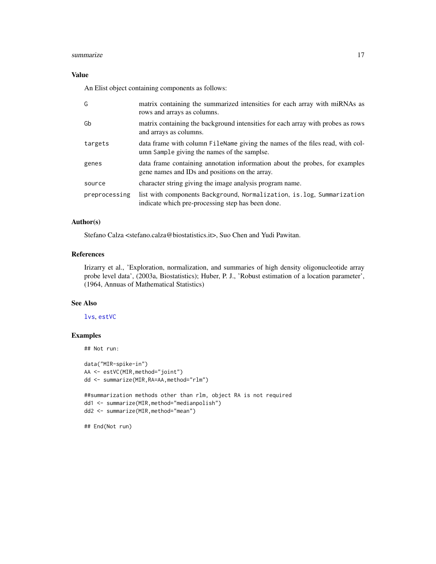#### summarize the contract of the contract of the contract of the contract of the contract of the contract of the contract of the contract of the contract of the contract of the contract of the contract of the contract of the

# Value

An Elist object containing components as follows:

| G             | matrix containing the summarized intensities for each array with miRNAs as<br>rows and arrays as columns.                     |
|---------------|-------------------------------------------------------------------------------------------------------------------------------|
| Gb            | matrix containing the background intensities for each array with probes as rows<br>and arrays as columns.                     |
| targets       | data frame with column FileName giving the names of the files read, with col-<br>umn Sample giving the names of the samplse.  |
| genes         | data frame containing annotation information about the probes, for examples<br>gene names and IDs and positions on the array. |
| source        | character string giving the image analysis program name.                                                                      |
| preprocessing | list with components Background, Normalization, is log, Summarization<br>indicate which pre-processing step has been done.    |

### Author(s)

Stefano Calza <stefano.calza@biostatistics.it>, Suo Chen and Yudi Pawitan.

# References

Irizarry et al., 'Exploration, normalization, and summaries of high density oligonucleotide array probe level data', (2003a, Biostatistics); Huber, P. J., 'Robust estimation of a location parameter', (1964, Annuas of Mathematical Statistics)

# See Also

# [lvs](#page-4-1), [estVC](#page-1-1)

# Examples

```
## Not run:
```

```
data("MIR-spike-in")
AA <- estVC(MIR,method="joint")
dd <- summarize(MIR,RA=AA,method="rlm")
```

```
##summarization methods other than rlm, object RA is not required
dd1 <- summarize(MIR,method="medianpolish")
dd2 <- summarize(MIR,method="mean")
```
## End(Not run)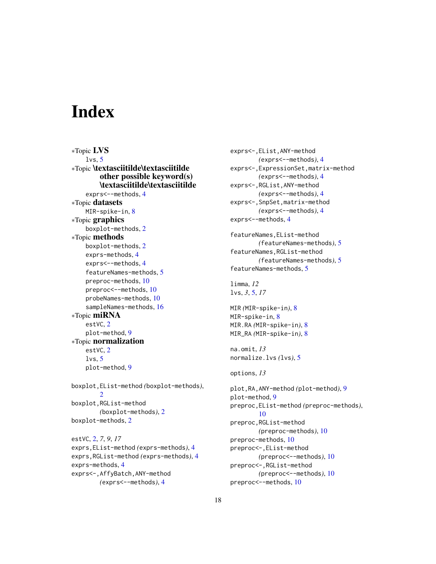# <span id="page-17-0"></span>**Index**

∗Topic LVS  $lvs. 5$  $lvs. 5$ ∗Topic \textasciitilde\textasciitilde other possible keyword(s) \textasciitilde\textasciitilde exprs<--methods, [4](#page-3-0) ∗Topic datasets MIR-spike-in, [8](#page-7-0) ∗Topic graphics boxplot-methods, [2](#page-1-0) ∗Topic methods boxplot-methods, [2](#page-1-0) exprs-methods, [4](#page-3-0) exprs<--methods, [4](#page-3-0) featureNames-methods, [5](#page-4-0) preproc-methods, [10](#page-9-0) preproc<--methods, [10](#page-9-0) probeNames-methods, [10](#page-9-0) sampleNames-methods, [16](#page-15-0) ∗Topic miRNA estVC, [2](#page-1-0) plot-method, [9](#page-8-0) ∗Topic normalization estVC, [2](#page-1-0)  $lvs. 5$  $lvs. 5$ plot-method, [9](#page-8-0) boxplot,EList-method *(*boxplot-methods*)*, [2](#page-1-0) boxplot,RGList-method *(*boxplot-methods*)*, [2](#page-1-0) boxplot-methods, [2](#page-1-0) estVC, [2,](#page-1-0) *7*, *9*, *17* exprs,EList-method *(*exprs-methods*)*, [4](#page-3-0) exprs,RGList-method *(*exprs-methods*)*, [4](#page-3-0) exprs-methods, [4](#page-3-0) exprs<-,AffyBatch,ANY-method

```
(exprs<--methods), 4
```

```
exprs<-,EList,ANY-method
        (exprs<--methods), 4
exprs<-,ExpressionSet,matrix-method
        (exprs<--methods), 4
exprs<-,RGList,ANY-method
        (exprs<--methods), 4
exprs<-,SnpSet,matrix-method
        (exprs<--methods), 4
exprs<--methods, 4
```

```
featureNames,EList-method
        (featureNames-methods), 5
featureNames,RGList-method
        (featureNames-methods), 5
featureNames-methods, 5
```

```
limma, 12
lvs, 3, 5, 17
```

```
MIR (MIR-spike-in), 8
MIR-spike-in, 8
MIR.RA (MIR-spike-in), 8
MIR_RA (MIR-spike-in), 8
```

```
na.omit, 13
normalize.lvs (lvs), 5
```

```
options, 13
```

```
plot,RA,ANY-method (plot-method), 9
plot-method, 9
preproc,EList-method (preproc-methods),
        10
preproc,RGList-method
        (preproc-methods), 10
preproc-methods, 10
preproc<-,EList-method
        (preproc<--methods), 10
preproc<-,RGList-method
        (preproc<--methods), 10
preproc<--methods, 10
```